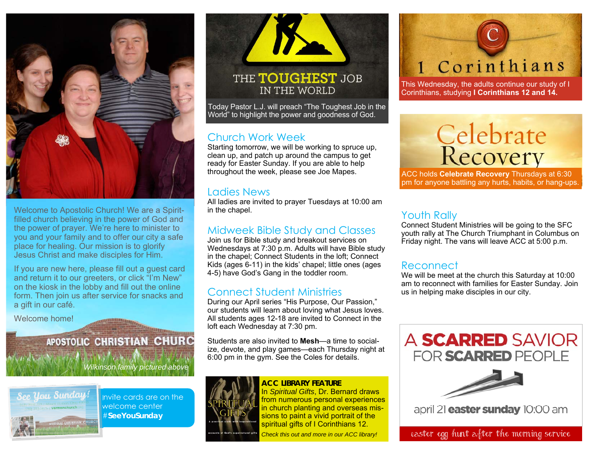

Welcome to Apostolic Church! We are a Spiritfilled church believing in the power of God and the power of prayer. We're here to minister to you and your family and to offer our city a safe place for healing. Our mission is to glorify Jesus Christ and make disciples for Him.

If you are new here, please fill out a guest card and return it to our greeters, or click "I'm New" on the kiosk in the lobby and fill out the online form. Then join us after service for snacks and a gift in our café.

Welcome home!

## APOSTOLIC CHRISTIAN CHURC

*Wilkinson family pictured above* 



Invite cards are on the welcome center #**SeeYouSunday** 



# IN THE WORLD

Today Pastor L.J. will preach "The Toughest Job in the World" to highlight the power and goodness of God.

#### Church Work Week

Starting tomorrow, we will be working to spruce up, clean up, and patch up around the campus to get ready for Easter Sunday. If you are able to help throughout the week, please see Joe Mapes.

#### Ladies News

All ladies are invited to prayer Tuesdays at 10:00 am in the chapel.

#### Midweek Bible Study and Classes

Join us for Bible study and breakout services on Wednesdays at 7:30 p.m. Adults will have Bible study in the chapel; Connect Students in the loft; Connect Kids (ages 6-11) in the kids' chapel; little ones (ages 4-5) have God's Gang in the toddler room.

#### Connect Student Ministries

During our April series "His Purpose, Our Passion," our students will learn about loving what Jesus loves. All students ages 12-18 are invited to Connect in the loft each Wednesday at 7:30 pm.

Students are also invited to **Mesh**—a time to socialize, devote, and play games—each Thursday night at 6:00 pm in the gym. See the Coles for details.



**ACC LIBRARY FEATURE** In *Spiritual Gifts*, Dr. Bernard draws from numerous personal experiences in church planting and overseas missions to paint a vivid portrait of the spiritual gifts of I Corinthians 12.

*Check this out and more in our ACC library!*

# 1 Corinthians

This Wednesday, the adults continue our study of I Corinthians, studying **I Corinthians 12 and 14.**

# Celebrate<br>Recovery

ACC holds **Celebrate Recovery** Thursdays at 6:30 pm for anyone battling any hurts, habits, or hang-ups.

#### Youth Rally

Connect Student Ministries will be going to the SFC youth rally at The Church Triumphant in Columbus on Friday night. The vans will leave ACC at 5:00 p.m.

#### **Reconnect**

We will be meet at the church this Saturday at 10:00 am to reconnect with families for Easter Sunday. Join us in helping make disciples in our city.





april 21 **easter sunday** 10:00 am

Easter egg hunt after the morning service